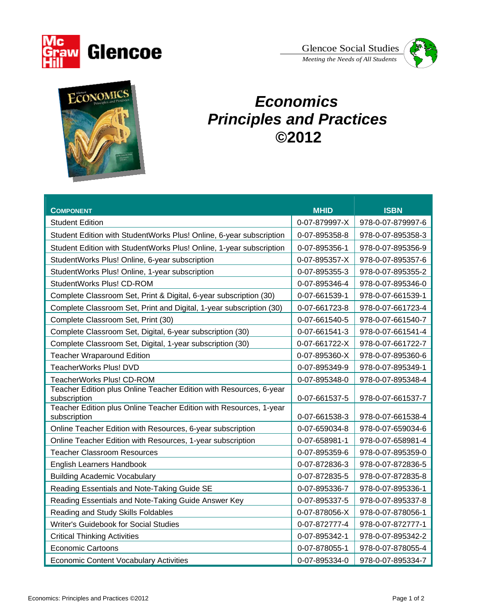

*Meeting the Needs of All Students*  Glencoe Social Studies





## *Economics Principles and Practices*  **©2012**

|                                                                                    | <b>MHID</b>   | <b>ISBN</b>       |
|------------------------------------------------------------------------------------|---------------|-------------------|
| <b>COMPONENT</b>                                                                   |               |                   |
| <b>Student Edition</b>                                                             | 0-07-879997-X | 978-0-07-879997-6 |
| Student Edition with StudentWorks Plus! Online, 6-year subscription                | 0-07-895358-8 | 978-0-07-895358-3 |
| Student Edition with StudentWorks Plus! Online, 1-year subscription                | 0-07-895356-1 | 978-0-07-895356-9 |
| StudentWorks Plus! Online, 6-year subscription                                     | 0-07-895357-X | 978-0-07-895357-6 |
| StudentWorks Plus! Online, 1-year subscription                                     | 0-07-895355-3 | 978-0-07-895355-2 |
| StudentWorks Plus! CD-ROM                                                          | 0-07-895346-4 | 978-0-07-895346-0 |
| Complete Classroom Set, Print & Digital, 6-year subscription (30)                  | 0-07-661539-1 | 978-0-07-661539-1 |
| Complete Classroom Set, Print and Digital, 1-year subscription (30)                | 0-07-661723-8 | 978-0-07-661723-4 |
| Complete Classroom Set, Print (30)                                                 | 0-07-661540-5 | 978-0-07-661540-7 |
| Complete Classroom Set, Digital, 6-year subscription (30)                          | 0-07-661541-3 | 978-0-07-661541-4 |
| Complete Classroom Set, Digital, 1-year subscription (30)                          | 0-07-661722-X | 978-0-07-661722-7 |
| <b>Teacher Wraparound Edition</b>                                                  | 0-07-895360-X | 978-0-07-895360-6 |
| TeacherWorks Plus! DVD                                                             | 0-07-895349-9 | 978-0-07-895349-1 |
| TeacherWorks Plus! CD-ROM                                                          | 0-07-895348-0 | 978-0-07-895348-4 |
| Teacher Edition plus Online Teacher Edition with Resources, 6-year<br>subscription | 0-07-661537-5 | 978-0-07-661537-7 |
| Teacher Edition plus Online Teacher Edition with Resources, 1-year<br>subscription | 0-07-661538-3 | 978-0-07-661538-4 |
| Online Teacher Edition with Resources, 6-year subscription                         | 0-07-659034-8 | 978-0-07-659034-6 |
| Online Teacher Edition with Resources, 1-year subscription                         | 0-07-658981-1 | 978-0-07-658981-4 |
| <b>Teacher Classroom Resources</b>                                                 | 0-07-895359-6 | 978-0-07-895359-0 |
| <b>English Learners Handbook</b>                                                   | 0-07-872836-3 | 978-0-07-872836-5 |
| <b>Building Academic Vocabulary</b>                                                | 0-07-872835-5 | 978-0-07-872835-8 |
| Reading Essentials and Note-Taking Guide SE                                        | 0-07-895336-7 | 978-0-07-895336-1 |
| Reading Essentials and Note-Taking Guide Answer Key                                | 0-07-895337-5 | 978-0-07-895337-8 |
| Reading and Study Skills Foldables                                                 | 0-07-878056-X | 978-0-07-878056-1 |
| Writer's Guidebook for Social Studies                                              | 0-07-872777-4 | 978-0-07-872777-1 |
| <b>Critical Thinking Activities</b>                                                | 0-07-895342-1 | 978-0-07-895342-2 |
| <b>Economic Cartoons</b>                                                           | 0-07-878055-1 | 978-0-07-878055-4 |
| <b>Economic Content Vocabulary Activities</b>                                      | 0-07-895334-0 | 978-0-07-895334-7 |